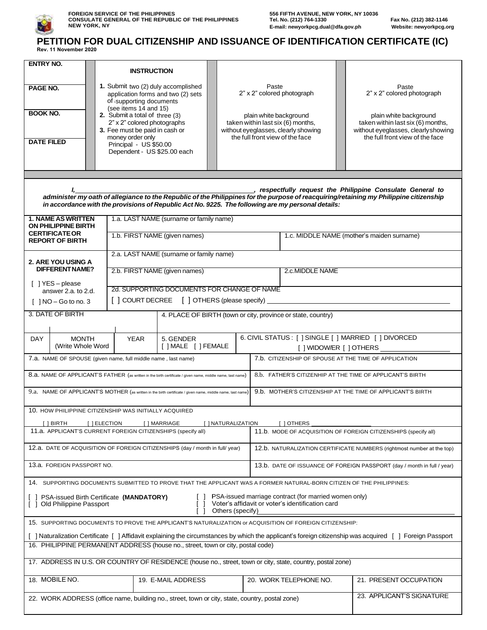

## **PETITION FOR DUAL CITIZENSHIP AND ISSUANCE OF IDENTIFICATION CERTIFICATE (IC) Rev. 11 November 2020**

| <b>ENTRY NO.</b><br>PAGE NO.<br><b>BOOK NO.</b><br><b>DATE FILED</b>                                                                                                                                                                        | <b>INSTRUCTION</b><br>1. Submit two (2) duly accomplished<br>application forms and two (2) sets<br>of supporting documents<br>(see items 14 and 15)<br>2. Submit a total of three (3)<br>2" x 2" colored photographs<br>3. Fee must be paid in cash or<br>money order only<br>Principal - US \$50.00<br>Dependent - US \$25.00 each<br>administer my oath of allegiance to the Republic of the Philippines for the purpose of reacquiring/retaining my Philippine citizenship<br>in accordance with the provisions of Republic Act No. 9225. The following are my personal details: |                                             |                                         |  |                                         |  |                                                                                                   | Paste<br>2" x 2" colored photograph<br>plain white background<br>taken within last six (6) months,<br>without eyeglasses, clearly showing<br>the full front view of the face<br>respectfully request the Philippine Consulate General to |                                                                        |  | Paste<br>2" x 2" colored photograph<br>plain white background<br>taken within last six (6) months,<br>without eyeglasses, clearlyshowing<br>the full front view of the face |  |  |
|---------------------------------------------------------------------------------------------------------------------------------------------------------------------------------------------------------------------------------------------|-------------------------------------------------------------------------------------------------------------------------------------------------------------------------------------------------------------------------------------------------------------------------------------------------------------------------------------------------------------------------------------------------------------------------------------------------------------------------------------------------------------------------------------------------------------------------------------|---------------------------------------------|-----------------------------------------|--|-----------------------------------------|--|---------------------------------------------------------------------------------------------------|------------------------------------------------------------------------------------------------------------------------------------------------------------------------------------------------------------------------------------------|------------------------------------------------------------------------|--|-----------------------------------------------------------------------------------------------------------------------------------------------------------------------------|--|--|
| <b>1. NAME AS WRITTEN</b><br>ON PHILIPPINE BIRTH                                                                                                                                                                                            |                                                                                                                                                                                                                                                                                                                                                                                                                                                                                                                                                                                     |                                             |                                         |  | 1.a. LAST NAME (surname or family name) |  |                                                                                                   |                                                                                                                                                                                                                                          |                                                                        |  |                                                                                                                                                                             |  |  |
| <b>CERTIFICATE OR</b><br><b>REPORT OF BIRTH</b>                                                                                                                                                                                             |                                                                                                                                                                                                                                                                                                                                                                                                                                                                                                                                                                                     |                                             | 1.b. FIRST NAME (given names)           |  |                                         |  |                                                                                                   |                                                                                                                                                                                                                                          | 1.c. MIDDLE NAME (mother's maiden surname)                             |  |                                                                                                                                                                             |  |  |
| 2. ARE YOU USING A                                                                                                                                                                                                                          |                                                                                                                                                                                                                                                                                                                                                                                                                                                                                                                                                                                     |                                             | 2.a. LAST NAME (surname or family name) |  |                                         |  |                                                                                                   |                                                                                                                                                                                                                                          |                                                                        |  |                                                                                                                                                                             |  |  |
| DIFFERENT NAME?                                                                                                                                                                                                                             |                                                                                                                                                                                                                                                                                                                                                                                                                                                                                                                                                                                     |                                             |                                         |  | 2.b. FIRST NAME (given names)           |  |                                                                                                   |                                                                                                                                                                                                                                          | 2.c.MIDDLE NAME                                                        |  |                                                                                                                                                                             |  |  |
| [ ] YES - please<br>answer 2.a. to 2.d.                                                                                                                                                                                                     |                                                                                                                                                                                                                                                                                                                                                                                                                                                                                                                                                                                     | 2d. SUPPORTING DOCUMENTS FOR CHANGE OF NAME |                                         |  |                                         |  |                                                                                                   |                                                                                                                                                                                                                                          |                                                                        |  |                                                                                                                                                                             |  |  |
| [ ] COURT DECREE [ ] OTHERS (please specify) ___________________________________<br>$\lceil$   NO - Go to no. 3                                                                                                                             |                                                                                                                                                                                                                                                                                                                                                                                                                                                                                                                                                                                     |                                             |                                         |  |                                         |  |                                                                                                   |                                                                                                                                                                                                                                          |                                                                        |  |                                                                                                                                                                             |  |  |
| 3. DATE OF BIRTH<br>4. PLACE OF BIRTH (town or city, province or state, country)                                                                                                                                                            |                                                                                                                                                                                                                                                                                                                                                                                                                                                                                                                                                                                     |                                             |                                         |  |                                         |  |                                                                                                   |                                                                                                                                                                                                                                          |                                                                        |  |                                                                                                                                                                             |  |  |
| <b>MONTH</b><br><b>YEAR</b><br>DAY.<br>5. GENDER<br>[ ] MALE [ ] FEMALE<br>(Write Whole Word                                                                                                                                                |                                                                                                                                                                                                                                                                                                                                                                                                                                                                                                                                                                                     |                                             |                                         |  |                                         |  | 6. CIVIL STATUS : [ ] SINGLE [ ] MARRIED [ ] DIVORCED<br>[ ] WIDOW/ER [ ] OTHERS ________________ |                                                                                                                                                                                                                                          |                                                                        |  |                                                                                                                                                                             |  |  |
| 7.a. NAME OF SPOUSE (given name, full middle name, last name)                                                                                                                                                                               |                                                                                                                                                                                                                                                                                                                                                                                                                                                                                                                                                                                     |                                             |                                         |  |                                         |  |                                                                                                   |                                                                                                                                                                                                                                          |                                                                        |  | 7.b. CITIZENSHIP OF SPOUSE AT THE TIME OF APPLICATION                                                                                                                       |  |  |
|                                                                                                                                                                                                                                             | 8.b. FATHER'S CITIZENHIP AT THE TIME OF APPLICANT'S BIRTH<br>8.a. NAME OF APPLICANT'S FATHER (as written in the birth certificate / given name, middle name, last name)                                                                                                                                                                                                                                                                                                                                                                                                             |                                             |                                         |  |                                         |  |                                                                                                   |                                                                                                                                                                                                                                          |                                                                        |  |                                                                                                                                                                             |  |  |
| 9.a. NAME OF APPLICANT'S MOTHER (as written in the birth certificate / given name, middle name, last name)                                                                                                                                  |                                                                                                                                                                                                                                                                                                                                                                                                                                                                                                                                                                                     |                                             |                                         |  |                                         |  |                                                                                                   | 9.b. MOTHER'S CITIZENSHIP AT THE TIME OF APPLICANT'S BIRTH                                                                                                                                                                               |                                                                        |  |                                                                                                                                                                             |  |  |
| 10. HOW PHILIPPINE CITIZENSHIP WAS INITIALLY ACQUIRED                                                                                                                                                                                       |                                                                                                                                                                                                                                                                                                                                                                                                                                                                                                                                                                                     |                                             |                                         |  |                                         |  |                                                                                                   |                                                                                                                                                                                                                                          |                                                                        |  |                                                                                                                                                                             |  |  |
| [ ] BIRTH<br>11.a. APPLICANT'S CURRENT FOREIGN CITIZENSHIPS (specify all)                                                                                                                                                                   |                                                                                                                                                                                                                                                                                                                                                                                                                                                                                                                                                                                     |                                             | [ ] ELECTION                            |  | [ ] MARRIAGE                            |  | [ ] NATURALIZATION                                                                                |                                                                                                                                                                                                                                          | [ ] OTHERS                                                             |  | 11.b. MODE OF ACQUISITION OF FOREIGN CITIZENSHIPS (specify all)                                                                                                             |  |  |
|                                                                                                                                                                                                                                             | 12.a. DATE OF ACQUISITION OF FOREIGN CITIZENSHIPS (day / month in full/ year)                                                                                                                                                                                                                                                                                                                                                                                                                                                                                                       |                                             |                                         |  |                                         |  |                                                                                                   |                                                                                                                                                                                                                                          | 12.b. NATURALIZATION CERTIFICATE NUMBERS (rightmost number at the top) |  |                                                                                                                                                                             |  |  |
| 13.a. FOREIGN PASSPORT NO.                                                                                                                                                                                                                  |                                                                                                                                                                                                                                                                                                                                                                                                                                                                                                                                                                                     |                                             |                                         |  |                                         |  |                                                                                                   | 13.b. DATE OF ISSUANCE OF FOREIGN PASSPORT (day / month in full / year)                                                                                                                                                                  |                                                                        |  |                                                                                                                                                                             |  |  |
|                                                                                                                                                                                                                                             |                                                                                                                                                                                                                                                                                                                                                                                                                                                                                                                                                                                     |                                             |                                         |  |                                         |  |                                                                                                   |                                                                                                                                                                                                                                          |                                                                        |  | 14. SUPPORTING DOCUMENTS SUBMITTED TO PROVE THAT THE APPLICANT WAS A FORMER NATURAL-BORN CITIZEN OF THE PHILIPPINES:                                                        |  |  |
| PSA-issued marriage contract (for married women only)<br>PSA-issued Birth Certificate (MANDATORY)<br>Voter's affidavit or voter's identification card<br>Old Philippine Passport<br>Others (specify)                                        |                                                                                                                                                                                                                                                                                                                                                                                                                                                                                                                                                                                     |                                             |                                         |  |                                         |  |                                                                                                   |                                                                                                                                                                                                                                          |                                                                        |  |                                                                                                                                                                             |  |  |
| 15. SUPPORTING DOCUMENTS TO PROVE THE APPLICANT'S NATURALIZATION or ACQUISITION OF FOREIGN CITIZENSHIP:                                                                                                                                     |                                                                                                                                                                                                                                                                                                                                                                                                                                                                                                                                                                                     |                                             |                                         |  |                                         |  |                                                                                                   |                                                                                                                                                                                                                                          |                                                                        |  |                                                                                                                                                                             |  |  |
| [ ] Naturalization Certificate [ ] Affidavit explaining the circumstances by which the applicant's foreign citizenship was acquired [ ] Foreign Passport<br>16. PHILIPPINE PERMANENT ADDRESS (house no., street, town or city, postal code) |                                                                                                                                                                                                                                                                                                                                                                                                                                                                                                                                                                                     |                                             |                                         |  |                                         |  |                                                                                                   |                                                                                                                                                                                                                                          |                                                                        |  |                                                                                                                                                                             |  |  |
| 17. ADDRESS IN U.S. OR COUNTRY OF RESIDENCE (house no., street, town or city, state, country, postal zone)                                                                                                                                  |                                                                                                                                                                                                                                                                                                                                                                                                                                                                                                                                                                                     |                                             |                                         |  |                                         |  |                                                                                                   |                                                                                                                                                                                                                                          |                                                                        |  |                                                                                                                                                                             |  |  |
| 18. MOBILE NO.<br>19. E-MAIL ADDRESS                                                                                                                                                                                                        |                                                                                                                                                                                                                                                                                                                                                                                                                                                                                                                                                                                     |                                             |                                         |  |                                         |  |                                                                                                   |                                                                                                                                                                                                                                          | 20. WORK TELEPHONE NO.                                                 |  | 21. PRESENT OCCUPATION                                                                                                                                                      |  |  |
|                                                                                                                                                                                                                                             |                                                                                                                                                                                                                                                                                                                                                                                                                                                                                                                                                                                     |                                             |                                         |  |                                         |  |                                                                                                   |                                                                                                                                                                                                                                          |                                                                        |  |                                                                                                                                                                             |  |  |
| 23. APPLICANT'S SIGNATURE<br>22. WORK ADDRESS (office name, building no., street, town or city, state, country, postal zone)                                                                                                                |                                                                                                                                                                                                                                                                                                                                                                                                                                                                                                                                                                                     |                                             |                                         |  |                                         |  |                                                                                                   |                                                                                                                                                                                                                                          |                                                                        |  |                                                                                                                                                                             |  |  |